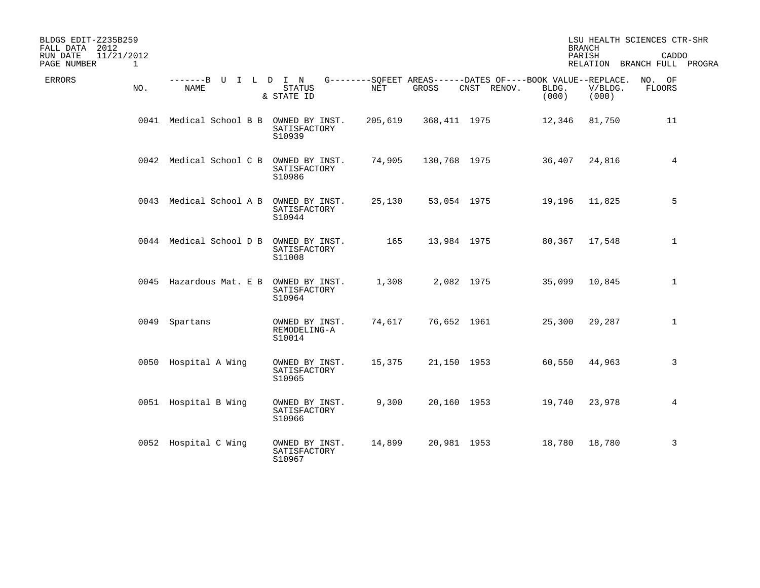| BLDGS EDIT-Z235B259<br>2012<br>FALL DATA |      |                              |                                          |         |              |                                                                            |                | <b>BRANCH</b>    | LSU HEALTH SCIENCES CTR-SHR          |  |
|------------------------------------------|------|------------------------------|------------------------------------------|---------|--------------|----------------------------------------------------------------------------|----------------|------------------|--------------------------------------|--|
| 11/21/2012<br>RUN DATE<br>PAGE NUMBER    | 1    |                              |                                          |         |              |                                                                            |                | PARISH           | CADDO<br>RELATION BRANCH FULL PROGRA |  |
| <b>ERRORS</b>                            | NO.  | -------B U I L D I N<br>NAME | <b>STATUS</b><br>& STATE ID              | NET     | GROSS        | G--------SQFEET AREAS------DATES OF----BOOK VALUE--REPLACE.<br>CNST RENOV. | BLDG.<br>(000) | V/BLDG.<br>(000) | NO. OF<br><b>FLOORS</b>              |  |
|                                          |      | 0041 Medical School B B      | OWNED BY INST.<br>SATISFACTORY<br>S10939 | 205,619 | 368,411 1975 |                                                                            | 12,346         | 81,750           | 11                                   |  |
|                                          |      | 0042 Medical School C B      | OWNED BY INST.<br>SATISFACTORY<br>S10986 | 74,905  | 130,768 1975 |                                                                            | 36,407         | 24,816           | $\overline{4}$                       |  |
|                                          |      | 0043 Medical School A B      | OWNED BY INST.<br>SATISFACTORY<br>S10944 | 25,130  |              | 53,054 1975                                                                | 19,196         | 11,825           | 5                                    |  |
|                                          |      | 0044 Medical School D B      | OWNED BY INST.<br>SATISFACTORY<br>S11008 | 165     | 13,984 1975  |                                                                            | 80,367         | 17,548           | $\mathbf 1$                          |  |
|                                          |      | 0045 Hazardous Mat. E B      | OWNED BY INST.<br>SATISFACTORY<br>S10964 | 1,308   |              | 2,082 1975                                                                 | 35,099         | 10,845           | 1                                    |  |
|                                          | 0049 | Spartans                     | OWNED BY INST.<br>REMODELING-A<br>S10014 | 74,617  |              | 76,652 1961                                                                | 25,300         | 29,287           | $\mathbf 1$                          |  |
|                                          |      | 0050 Hospital A Wing         | OWNED BY INST.<br>SATISFACTORY<br>S10965 | 15,375  |              | 21,150 1953                                                                | 60,550         | 44,963           | 3                                    |  |
|                                          |      | 0051 Hospital B Wing         | OWNED BY INST.<br>SATISFACTORY<br>S10966 | 9,300   |              | 20,160 1953                                                                | 19,740         | 23,978           | 4                                    |  |
|                                          |      | 0052 Hospital C Wing         | OWNED BY INST.<br>SATISFACTORY<br>S10967 | 14,899  |              | 20,981 1953                                                                | 18,780         | 18,780           | 3                                    |  |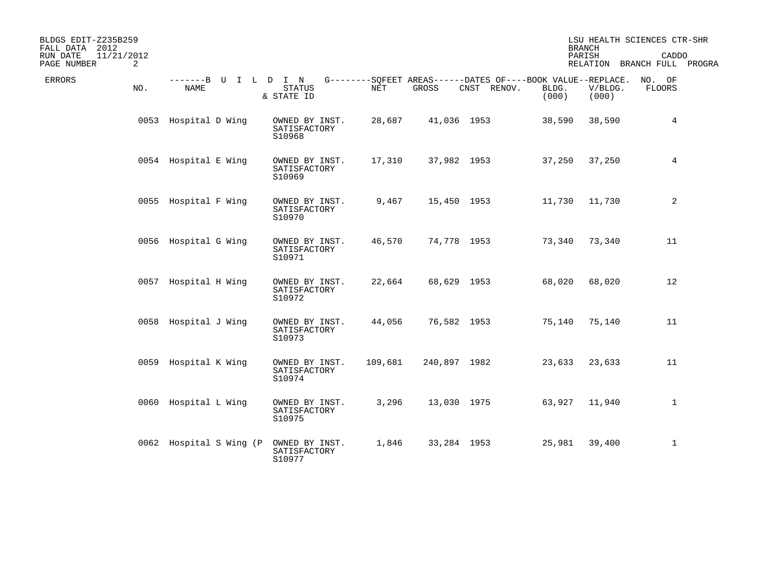| BLDGS EDIT-Z235B259<br>2012<br>FALL DATA |     |                                     |                                          |         |              |                                                                            |                | <b>BRANCH</b>    | LSU HEALTH SCIENCES CTR-SHR          |  |
|------------------------------------------|-----|-------------------------------------|------------------------------------------|---------|--------------|----------------------------------------------------------------------------|----------------|------------------|--------------------------------------|--|
| 11/21/2012<br>RUN DATE<br>PAGE NUMBER    | 2   |                                     |                                          |         |              |                                                                            |                | PARISH           | CADDO<br>RELATION BRANCH FULL PROGRA |  |
| ERRORS                                   | NO. | -------B U I L D I N<br><b>NAME</b> | <b>STATUS</b><br>& STATE ID              | NET     | GROSS        | G--------SQFEET AREAS------DATES OF----BOOK VALUE--REPLACE.<br>CNST RENOV. | BLDG.<br>(000) | V/BLDG.<br>(000) | NO. OF<br><b>FLOORS</b>              |  |
|                                          |     | 0053 Hospital D Wing                | OWNED BY INST.<br>SATISFACTORY<br>S10968 | 28,687  | 41,036 1953  |                                                                            | 38,590         | 38,590           | $\overline{4}$                       |  |
|                                          |     | 0054 Hospital E Wing                | OWNED BY INST.<br>SATISFACTORY<br>S10969 | 17,310  | 37,982 1953  |                                                                            | 37,250         | 37,250           | 4                                    |  |
|                                          |     | 0055 Hospital F Wing                | OWNED BY INST.<br>SATISFACTORY<br>S10970 | 9,467   | 15,450 1953  |                                                                            | 11,730         | 11,730           | 2                                    |  |
|                                          |     | 0056 Hospital G Wing                | OWNED BY INST.<br>SATISFACTORY<br>S10971 | 46,570  | 74,778 1953  |                                                                            | 73,340         | 73,340           | 11                                   |  |
|                                          |     | 0057 Hospital H Wing                | OWNED BY INST.<br>SATISFACTORY<br>S10972 | 22,664  | 68,629 1953  |                                                                            | 68,020         | 68,020           | 12                                   |  |
|                                          |     | 0058 Hospital J Wing                | OWNED BY INST.<br>SATISFACTORY<br>S10973 | 44,056  | 76,582 1953  |                                                                            | 75,140         | 75,140           | 11                                   |  |
|                                          |     | 0059 Hospital K Wing                | OWNED BY INST.<br>SATISFACTORY<br>S10974 | 109,681 | 240,897 1982 |                                                                            | 23,633         | 23,633           | 11                                   |  |
|                                          |     | 0060 Hospital L Wing                | OWNED BY INST.<br>SATISFACTORY<br>S10975 | 3,296   | 13,030 1975  |                                                                            | 63,927         | 11,940           | $\mathbf{1}$                         |  |
|                                          |     | 0062 Hospital S Wing (P             | OWNED BY INST.<br>SATISFACTORY<br>S10977 | 1,846   | 33,284 1953  |                                                                            | 25,981         | 39,400           | $\mathbf{1}$                         |  |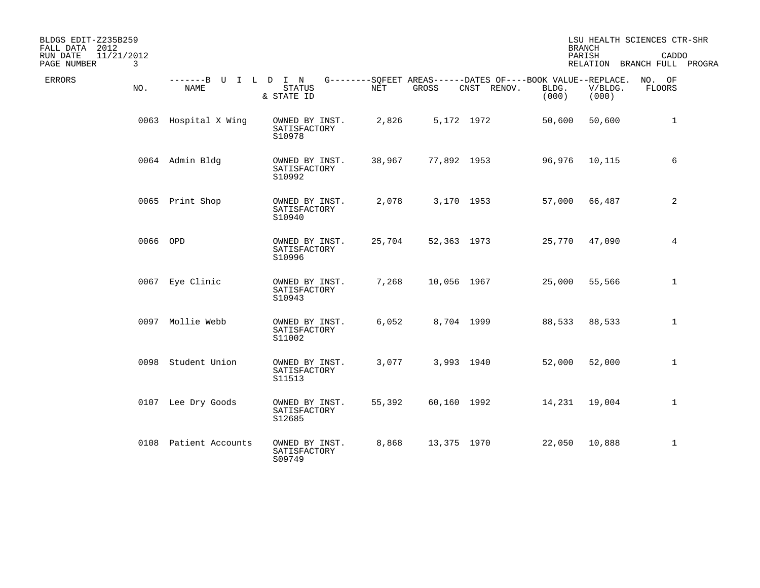| BLDGS EDIT-Z235B259<br>FALL DATA 2012                 |                                     |                                          |            |             |                                                                            |                | <b>BRANCH</b>    | LSU HEALTH SCIENCES CTR-SHR          |  |
|-------------------------------------------------------|-------------------------------------|------------------------------------------|------------|-------------|----------------------------------------------------------------------------|----------------|------------------|--------------------------------------|--|
| 11/21/2012<br>RUN DATE<br>$\mathbf{3}$<br>PAGE NUMBER |                                     |                                          |            |             |                                                                            |                | PARISH           | CADDO<br>RELATION BRANCH FULL PROGRA |  |
| <b>ERRORS</b><br>NO.                                  | -------B U I L D I N<br><b>NAME</b> | <b>STATUS</b><br>& STATE ID              | <b>NET</b> | GROSS       | G--------SOFEET AREAS------DATES OF----BOOK VALUE--REPLACE.<br>CNST RENOV. | BLDG.<br>(000) | V/BLDG.<br>(000) | NO. OF<br><b>FLOORS</b>              |  |
|                                                       | 0063 Hospital X Wing                | OWNED BY INST.<br>SATISFACTORY<br>S10978 | 2,826      |             | 5,172 1972                                                                 | 50,600         | 50,600           | $\mathbf{1}$                         |  |
|                                                       | 0064 Admin Bldg                     | OWNED BY INST.<br>SATISFACTORY<br>S10992 | 38,967     | 77,892 1953 |                                                                            | 96,976         | 10,115           | 6                                    |  |
|                                                       | 0065 Print Shop                     | OWNED BY INST.<br>SATISFACTORY<br>S10940 | 2,078      |             | 3,170 1953                                                                 | 57,000         | 66,487           | 2                                    |  |
|                                                       | 0066 OPD                            | OWNED BY INST.<br>SATISFACTORY<br>S10996 | 25,704     |             | 52,363 1973                                                                | 25,770         | 47,090           | 4                                    |  |
|                                                       | 0067 Eye Clinic                     | OWNED BY INST.<br>SATISFACTORY<br>S10943 | 7,268      | 10,056 1967 |                                                                            | 25,000         | 55,566           | $\mathbf{1}$                         |  |
|                                                       | 0097 Mollie Webb                    | OWNED BY INST.<br>SATISFACTORY<br>S11002 | 6,052      |             | 8,704 1999                                                                 | 88,533         | 88,533           | $\mathbf 1$                          |  |
|                                                       | 0098 Student Union                  | OWNED BY INST.<br>SATISFACTORY<br>S11513 | 3,077      |             | 3,993 1940                                                                 | 52,000         | 52,000           | $\mathbf{1}$                         |  |
|                                                       | 0107 Lee Dry Goods                  | OWNED BY INST.<br>SATISFACTORY<br>S12685 | 55,392     |             | 60,160 1992                                                                | 14,231         | 19,004           | $\mathbf{1}$                         |  |
|                                                       | 0108 Patient Accounts               | OWNED BY INST.<br>SATISFACTORY<br>S09749 | 8,868      | 13,375 1970 |                                                                            | 22,050         | 10,888           | $\mathbf{1}$                         |  |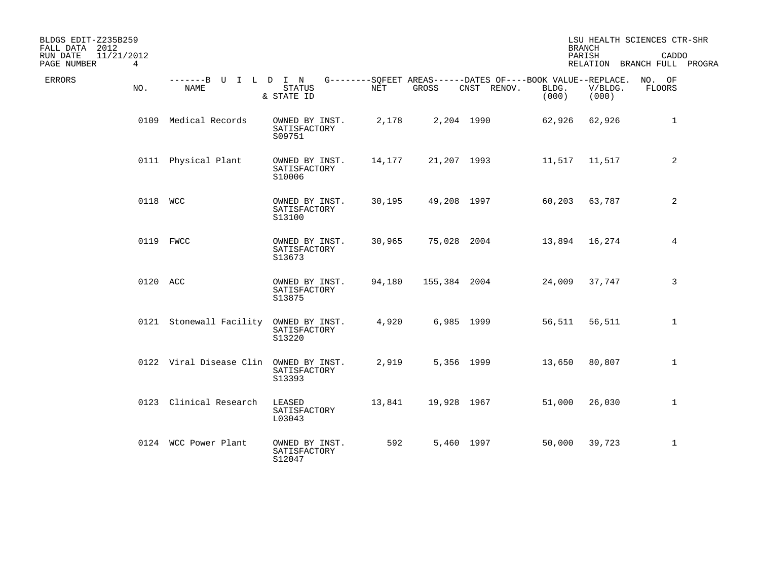| BLDGS EDIT-Z235B259<br>FALL DATA 2012 |          |                                     |                                          |        |              |                                                                           |                | <b>BRANCH</b>    | LSU HEALTH SCIENCES CTR-SHR          |  |
|---------------------------------------|----------|-------------------------------------|------------------------------------------|--------|--------------|---------------------------------------------------------------------------|----------------|------------------|--------------------------------------|--|
| 11/21/2012<br>RUN DATE<br>PAGE NUMBER | 4        |                                     |                                          |        |              |                                                                           |                | PARISH           | CADDO<br>RELATION BRANCH FULL PROGRA |  |
| ERRORS                                | NO.      | -------B U I L D I N<br><b>NAME</b> | <b>STATUS</b><br>& STATE ID              | NET    | GROSS        | $G------SQFEET AREAS------DATES OF---BOOK VALUE--REPLACE.$<br>CNST RENOV. | BLDG.<br>(000) | V/BLDG.<br>(000) | NO. OF<br><b>FLOORS</b>              |  |
|                                       |          | 0109 Medical Records                | OWNED BY INST.<br>SATISFACTORY<br>S09751 | 2,178  |              | 2,204 1990                                                                | 62,926         | 62,926           | $\mathbf{1}$                         |  |
|                                       |          | 0111 Physical Plant                 | OWNED BY INST.<br>SATISFACTORY<br>S10006 | 14,177 | 21,207 1993  |                                                                           | 11,517         | 11,517           | 2                                    |  |
|                                       | 0118 WCC |                                     | OWNED BY INST.<br>SATISFACTORY<br>S13100 | 30,195 | 49,208 1997  |                                                                           | 60,203         | 63,787           | 2                                    |  |
|                                       |          | 0119 FWCC                           | OWNED BY INST.<br>SATISFACTORY<br>S13673 | 30,965 | 75,028 2004  |                                                                           | 13,894         | 16,274           | 4                                    |  |
|                                       | 0120 ACC |                                     | OWNED BY INST.<br>SATISFACTORY<br>S13875 | 94,180 | 155,384 2004 |                                                                           | 24,009         | 37,747           | 3                                    |  |
|                                       |          | 0121 Stonewall Facility             | OWNED BY INST.<br>SATISFACTORY<br>S13220 | 4,920  |              | 6,985 1999                                                                | 56,511         | 56,511           | $\mathbf 1$                          |  |
|                                       |          | 0122 Viral Disease Clin             | OWNED BY INST.<br>SATISFACTORY<br>S13393 | 2,919  |              | 5,356 1999                                                                | 13,650         | 80,807           | $\mathbf{1}$                         |  |
|                                       |          | 0123 Clinical Research              | LEASED<br>SATISFACTORY<br>L03043         | 13,841 | 19,928 1967  |                                                                           | 51,000         | 26,030           | $\mathbf 1$                          |  |
|                                       |          | 0124 WCC Power Plant                | OWNED BY INST.<br>SATISFACTORY<br>S12047 | 592    |              | 5,460 1997                                                                | 50,000         | 39,723           | $\mathbf{1}$                         |  |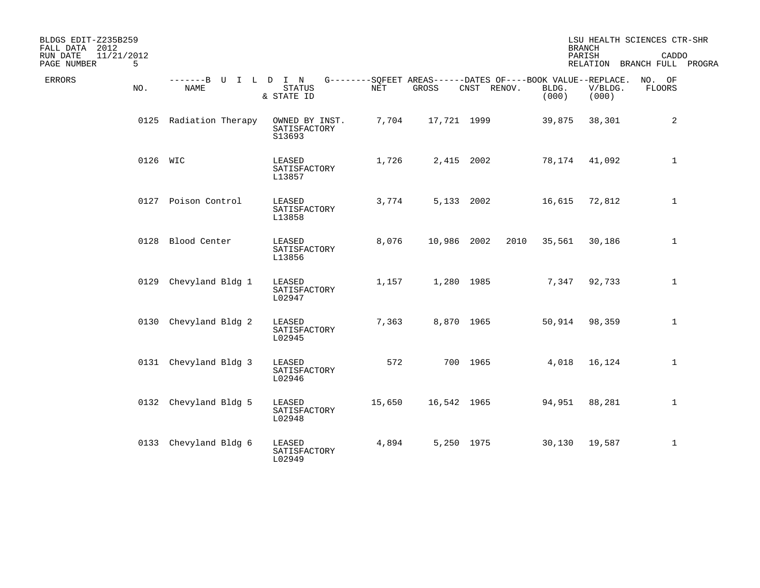| BLDGS EDIT-Z235B259<br>FALL DATA<br>2012   |                               |                                                    |        |             |                                                                            |                | <b>BRANCH</b>    | LSU HEALTH SCIENCES CTR-SHR          |  |
|--------------------------------------------|-------------------------------|----------------------------------------------------|--------|-------------|----------------------------------------------------------------------------|----------------|------------------|--------------------------------------|--|
| 11/21/2012<br>RUN DATE<br>PAGE NUMBER<br>5 |                               |                                                    |        |             |                                                                            |                | PARISH           | CADDO<br>RELATION BRANCH FULL PROGRA |  |
| <b>ERRORS</b><br>NO.                       | -------B U I L<br><b>NAME</b> | I N<br>$\mathbf{D}$<br><b>STATUS</b><br>& STATE ID | NET    | GROSS       | G--------SQFEET AREAS------DATES OF----BOOK VALUE--REPLACE.<br>CNST RENOV. | BLDG.<br>(000) | V/BLDG.<br>(000) | NO. OF<br><b>FLOORS</b>              |  |
|                                            | 0125 Radiation Therapy        | OWNED BY INST.<br>SATISFACTORY<br>S13693           | 7,704  | 17,721 1999 |                                                                            | 39,875         | 38,301           | 2                                    |  |
|                                            | 0126 WIC                      | LEASED<br>SATISFACTORY<br>L13857                   | 1,726  |             | 2,415 2002                                                                 | 78,174         | 41,092           | $\mathbf 1$                          |  |
|                                            | 0127 Poison Control           | LEASED<br>SATISFACTORY<br>L13858                   | 3,774  |             | 5,133 2002                                                                 | 16,615         | 72,812           | $\mathbf{1}$                         |  |
| 0128                                       | Blood Center                  | LEASED<br>SATISFACTORY<br>L13856                   | 8,076  | 10,986 2002 | 2010                                                                       | 35,561         | 30,186           | $\mathbf{1}$                         |  |
| 0129                                       | Chevyland Bldg 1              | LEASED<br>SATISFACTORY<br>L02947                   | 1,157  |             | 1,280 1985                                                                 | 7,347          | 92,733           | $\mathbf{1}$                         |  |
| 0130                                       | Chevyland Bldg 2              | LEASED<br>SATISFACTORY<br>L02945                   | 7,363  |             | 8,870 1965                                                                 | 50,914         | 98,359           | $\mathbf 1$                          |  |
|                                            | 0131 Chevyland Bldg 3         | LEASED<br>SATISFACTORY<br>L02946                   | 572    |             | 700 1965                                                                   | 4,018          | 16,124           | $\mathbf{1}$                         |  |
|                                            | 0132 Chevyland Bldg 5         | LEASED<br>SATISFACTORY<br>L02948                   | 15,650 | 16,542 1965 |                                                                            | 94,951         | 88,281           | $\mathbf 1$                          |  |
| 0133                                       | Chevyland Bldg 6              | LEASED<br>SATISFACTORY<br>L02949                   | 4,894  |             | 5,250 1975                                                                 | 30,130         | 19,587           | $\mathbf{1}$                         |  |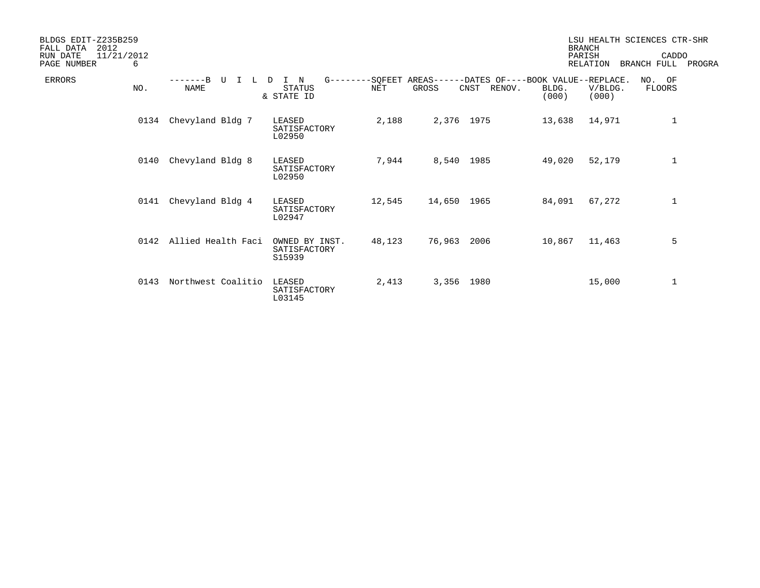| BLDGS EDIT-Z235B259<br>2012<br>FALL DATA<br>11/21/2012<br>RUN DATE<br>PAGE NUMBER<br>6 |                             |                                          |                               |             |                                                               |                | <b>BRANCH</b><br>PARISH<br><b>RELATION</b> | LSU HEALTH SCIENCES CTR-SHR<br>CADDO<br>BRANCH FULL | PROGRA |
|----------------------------------------------------------------------------------------|-----------------------------|------------------------------------------|-------------------------------|-------------|---------------------------------------------------------------|----------------|--------------------------------------------|-----------------------------------------------------|--------|
| ERRORS<br>NO.                                                                          | $---B$<br>τJ<br><b>NAME</b> | N<br><b>STATUS</b><br>& STATE ID         | $G------SOFEET$<br><b>NET</b> | GROSS       | AREAS------DATES OF----BOOK VALUE--REPLACE.<br>CNST<br>RENOV. | BLDG.<br>(000) | V/BLDG.<br>(000)                           | NO. OF<br><b>FLOORS</b>                             |        |
|                                                                                        | Chevyland Bldg 7<br>0134    | LEASED<br>SATISFACTORY<br>L02950         | 2,188                         | 2,376 1975  |                                                               | 13,638         | 14,971                                     | $\mathbf{1}$                                        |        |
|                                                                                        | Chevyland Bldg 8<br>0140    | LEASED<br>SATISFACTORY<br>L02950         | 7,944                         | 8,540 1985  |                                                               | 49,020         | 52,179                                     | $1\,$                                               |        |
|                                                                                        | Chevyland Bldg 4<br>0141    | LEASED<br>SATISFACTORY<br>L02947         | 12,545                        | 14,650 1965 |                                                               | 84,091         | 67,272                                     | $1\,$                                               |        |
|                                                                                        | Allied Health Faci<br>0142  | OWNED BY INST.<br>SATISFACTORY<br>S15939 | 48,123                        | 76,963      | 2006                                                          | 10,867         | 11,463                                     | 5                                                   |        |
|                                                                                        | 0143<br>Northwest Coalitio  | <b>LEASED</b><br>SATISFACTORY<br>L03145  | 2,413                         | 3,356 1980  |                                                               |                | 15,000                                     | 1                                                   |        |